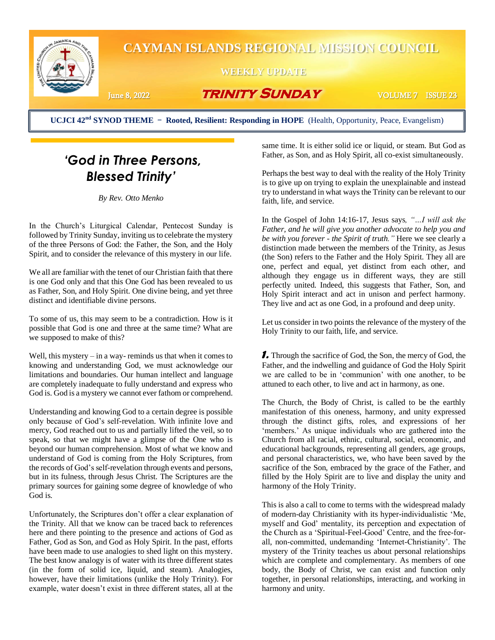

**UCJCI 42nd SYNOD THEME** - **Rooted, Resilient: Responding in HOPE** (Health, Opportunity, Peace, Evangelism)

## *'God in Three Persons, Blessed Trinity'*

*By Rev. Otto Menko*

In the Church's Liturgical Calendar, Pentecost Sunday is followed by Trinity Sunday, inviting us to celebrate the mystery of the three Persons of God: the Father, the Son, and the Holy Spirit, and to consider the relevance of this mystery in our life.

We all are familiar with the tenet of our Christian faith that there is one God only and that this One God has been revealed to us as Father, Son, and Holy Spirit. One divine being, and yet three distinct and identifiable divine persons.

To some of us, this may seem to be a contradiction. How is it possible that God is one and three at the same time? What are we supposed to make of this?

Well, this mystery  $-\text{in a way- reminds us that when it comes to}$ knowing and understanding God, we must acknowledge our limitations and boundaries. Our human intellect and language are completely inadequate to fully understand and express who God is. God is a mystery we cannot ever fathom or comprehend.

Understanding and knowing God to a certain degree is possible only because of God's self-revelation. With infinite love and mercy, God reached out to us and partially lifted the veil, so to speak, so that we might have a glimpse of the One who is beyond our human comprehension. Most of what we know and understand of God is coming from the Holy Scriptures, from the records of God's self-revelation through events and persons, but in its fulness, through Jesus Christ. The Scriptures are the primary sources for gaining some degree of knowledge of who God is.

Unfortunately, the Scriptures don't offer a clear explanation of the Trinity. All that we know can be traced back to references here and there pointing to the presence and actions of God as Father, God as Son, and God as Holy Spirit. In the past, efforts have been made to use analogies to shed light on this mystery. The best know analogy is of water with its three different states (in the form of solid ice, liquid, and steam). Analogies, however, have their limitations (unlike the Holy Trinity). For example, water doesn't exist in three different states, all at the

same time. It is either solid ice or liquid, or steam. But God as Father, as Son, and as Holy Spirit, all co-exist simultaneously.

Perhaps the best way to deal with the reality of the Holy Trinity is to give up on trying to explain the unexplainable and instead try to understand in what ways the Trinity can be relevant to our faith, life, and service.

In the Gospel of John 14:16-17, Jesus says*, "…I will ask the Father, and he will give you another advocate to help you and be with you forever - the Spirit of truth."* Here we see clearly a distinction made between the members of the Trinity, as Jesus (the Son) refers to the Father and the Holy Spirit. They all are one, perfect and equal, yet distinct from each other, and although they engage us in different ways, they are still perfectly united. Indeed, this suggests that Father, Son, and Holy Spirit interact and act in unison and perfect harmony. They live and act as one God, in a profound and deep unity.

Let us consider in two points the relevance of the mystery of the Holy Trinity to our faith, life, and service.

*1.* Through the sacrifice of God, the Son, the mercy of God, the Father, and the indwelling and guidance of God the Holy Spirit we are called to be in 'communion' with one another, to be attuned to each other, to live and act in harmony, as one.

The Church, the Body of Christ, is called to be the earthly manifestation of this oneness, harmony, and unity expressed through the distinct gifts, roles, and expressions of her 'members.' As unique individuals who are gathered into the Church from all racial, ethnic, cultural, social, economic, and educational backgrounds, representing all genders, age groups, and personal characteristics, we, who have been saved by the sacrifice of the Son, embraced by the grace of the Father, and filled by the Holy Spirit are to live and display the unity and harmony of the Holy Trinity.

This is also a call to come to terms with the widespread malady of modern-day Christianity with its hyper-individualistic 'Me, myself and God' mentality, its perception and expectation of the Church as a 'Spiritual-Feel-Good' Centre, and the free-forall, non-committed, undemanding 'Internet-Christianity'. The mystery of the Trinity teaches us about personal relationships which are complete and complementary. As members of one body, the Body of Christ, we can exist and function only together, in personal relationships, interacting, and working in harmony and unity.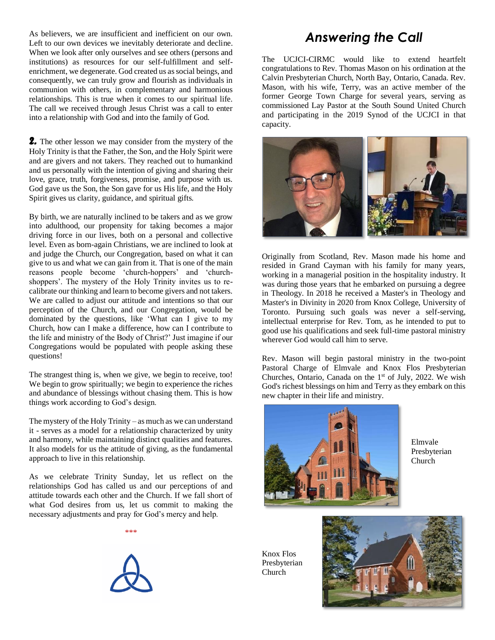As believers, we are insufficient and inefficient on our own. Left to our own devices we inevitably deteriorate and decline. When we look after only ourselves and see others (persons and institutions) as resources for our self-fulfillment and selfenrichment, we degenerate. God created us as social beings, and consequently, we can truly grow and flourish as individuals in communion with others, in complementary and harmonious relationships. This is true when it comes to our spiritual life. The call we received through Jesus Christ was a call to enter into a relationship with God and into the family of God.

*2.* The other lesson we may consider from the mystery of the Holy Trinity is that the Father, the Son, and the Holy Spirit were and are givers and not takers. They reached out to humankind and us personally with the intention of giving and sharing their love, grace, truth, forgiveness, promise, and purpose with us. God gave us the Son, the Son gave for us His life, and the Holy Spirit gives us clarity, guidance, and spiritual gifts.

By birth, we are naturally inclined to be takers and as we grow into adulthood, our propensity for taking becomes a major driving force in our lives, both on a personal and collective level. Even as born-again Christians, we are inclined to look at and judge the Church, our Congregation, based on what it can give to us and what we can gain from it. That is one of the main reasons people become 'church-hoppers' and 'churchshoppers'. The mystery of the Holy Trinity invites us to recalibrate our thinking and learn to become givers and not takers. We are called to adjust our attitude and intentions so that our perception of the Church, and our Congregation, would be dominated by the questions, like 'What can I give to my Church, how can I make a difference, how can I contribute to the life and ministry of the Body of Christ?' Just imagine if our Congregations would be populated with people asking these questions!

The strangest thing is, when we give, we begin to receive, too! We begin to grow spiritually; we begin to experience the riches and abundance of blessings without chasing them. This is how things work according to God's design.

The mystery of the Holy Trinity – as much as we can understand it - serves as a model for a relationship characterized by unity and harmony, while maintaining distinct qualities and features. It also models for us the attitude of giving, as the fundamental approach to live in this relationship.

As we celebrate Trinity Sunday, let us reflect on the relationships God has called us and our perceptions of and attitude towards each other and the Church. If we fall short of what God desires from us, let us commit to making the necessary adjustments and pray for God's mercy and help.

\*\*\*



## *Answering the Call*

The UCJCI-CIRMC would like to extend heartfelt congratulations to Rev. Thomas Mason on his ordination at the Calvin Presbyterian Church, North Bay, Ontario, Canada. Rev. Mason, with his wife, Terry, was an active member of the former George Town Charge for several years, serving as commissioned Lay Pastor at the South Sound United Church and participating in the 2019 Synod of the UCJCI in that capacity.



Originally from Scotland, Rev. Mason made his home and resided in Grand Cayman with his family for many years, working in a managerial position in the hospitality industry. It was during those years that he embarked on pursuing a degree in Theology. In 2018 he received a Master's in Theology and Master's in Divinity in 2020 from Knox College, University of Toronto. Pursuing such goals was never a self-serving, intellectual enterprise for Rev. Tom, as he intended to put to good use his qualifications and seek full-time pastoral ministry wherever God would call him to serve.

Rev. Mason will begin pastoral ministry in the two-point Pastoral Charge of Elmvale and Knox Flos Presbyterian Churches, Ontario, Canada on the  $1<sup>st</sup>$  of July, 2022. We wish God's richest blessings on him and Terry as they embark on this new chapter in their life and ministry.



Elmvale Presbyterian Church

Knox Flos Presbyterian Church

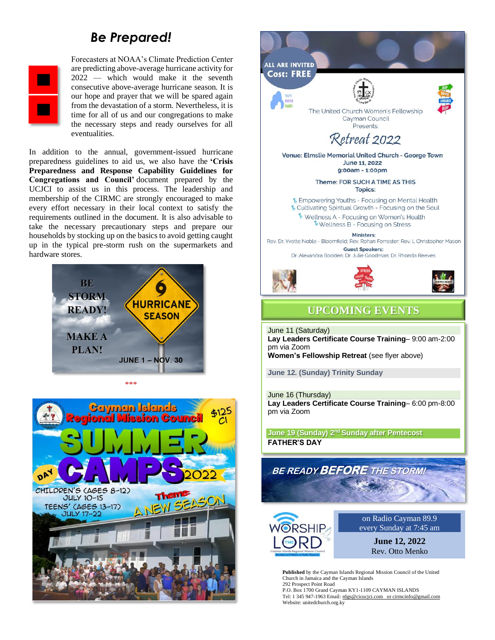## *Be Prepared!*



Forecasters at NOAA's Climate Prediction Center are predicting above-average hurricane activity for 2022 — which would make it the seventh consecutive above-average hurricane season. It is our hope and prayer that we will be spared again from the devastation of a storm. Nevertheless, it is time for all of us and our congregations to make the necessary steps and ready ourselves for all eventualities.

In addition to the annual, government-issued hurricane preparedness guidelines to aid us, we also have the **'Crisis Preparedness and Response Capability Guidelines for Congregations and Council'** document prepared by the UCJCI to assist us in this process. The leadership and membership of the CIRMC are strongly encouraged to make every effort necessary in their local context to satisfy the requirements outlined in the document. It is also advisable to take the necessary precautionary steps and prepare our households by stocking up on the basics to avoid getting caught up in the typical pre-storm rush on the supermarkets and hardware stores.